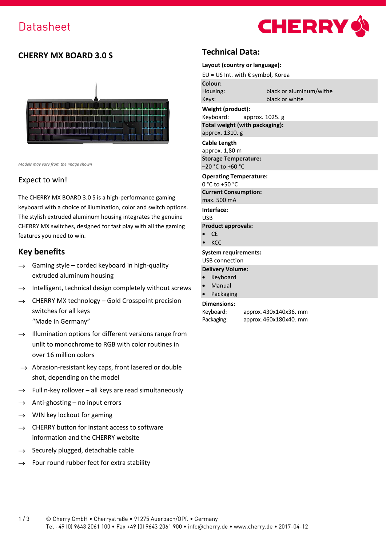

# **CHERRY MX BOARD 3.0 S**



*Models may vary from the image shown*

### Expect to win!

The CHERRY MX BOARD 3.0 S is a high-performance gaming keyboard with a choice of illumination, color and switch options. The stylish extruded aluminum housing integrates the genuine CHERRY MX switches, designed for fast play with all the gaming features you need to win.

## **Key benefits**

- $\rightarrow$  Gaming style corded keyboard in high-quality extruded aluminum housing
- $\rightarrow$  Intelligent, technical design completely without screws
- $\rightarrow$  CHERRY MX technology Gold Crosspoint precision switches for all keys "Made in Germany"
- $\rightarrow$  Illumination options for different versions range from unlit to monochrome to RGB with color routines in over 16 million colors
- $\rightarrow$  Abrasion-resistant key caps, front lasered or double shot, depending on the model
- $\rightarrow$  Full n-key rollover all keys are read simultaneously
- $\rightarrow$  Anti-ghosting no input errors
- $\rightarrow$  WIN key lockout for gaming
- $\rightarrow$  CHERRY button for instant access to software information and the CHERRY website
- $\rightarrow$  Securely plugged, detachable cable
- $\rightarrow$  Four round rubber feet for extra stability

## **Technical Data:**

#### **Layout (country or language):**

EU = US Int. with € symbol, Korea

| Colour:  |                         |
|----------|-------------------------|
| Housing: | black or aluminum/withe |
| Keys:    | black or white          |

#### **Weight (product):**

Keyboard: approx. 1025. g **Total weight (with packaging):** approx. 1310. g

**Cable Length**

approx. 1,80 m **Storage Temperature:** –20 °C to +60 °C

#### **Operating Temperature:**

0 °C to +50 °C

**Current Consumption:** max. 500 mA

**Interface:**

USB

- **Product approvals:**
- CE
- KCC

## **System requirements:**

# USB connection

- **Delivery Volume: Keyboard**
- 
- **Manual Packaging**

## **Dimensions:**

```
Keyboard: approx. 430x140x36. mm
```
Packaging: approx. 460x180x40. mm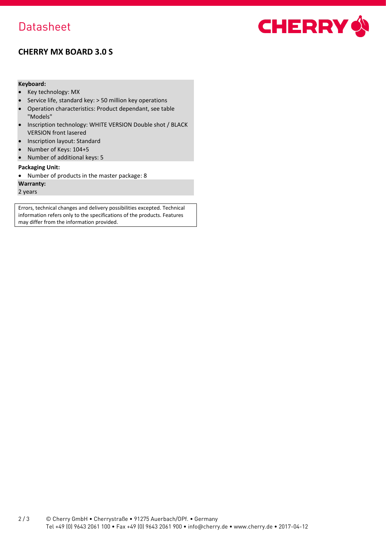# **Datasheet**



# **CHERRY MX BOARD 3.0 S**

### **Keyboard:**

- Key technology: MX
- Service life, standard key: > 50 million key operations
- Operation characteristics: Product dependant, see table "Models"
- Inscription technology: WHITE VERSION Double shot / BLACK VERSION front lasered
- Inscription layout: Standard
- Number of Keys: 104+5
- Number of additional keys: 5

#### **Packaging Unit:**

• Number of products in the master package: 8

### **Warranty:**

2 years

Errors, technical changes and delivery possibilities excepted. Technical information refers only to the specifications of the products. Features may differ from the information provided.